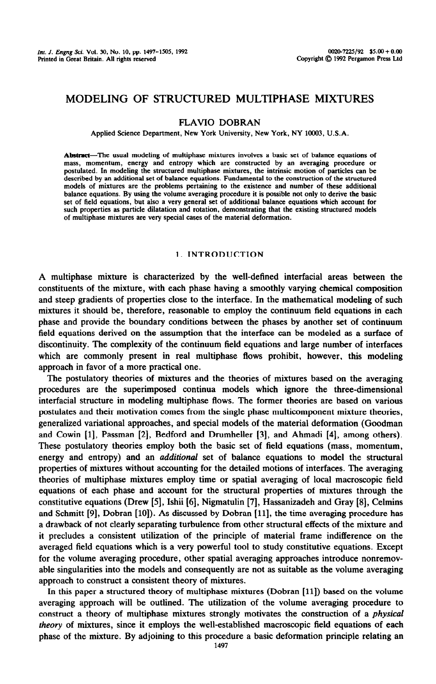# **MODELING OF STRUCTURED MULTIPHASE MIXTURES**

### FLAVIO DOBRAN

**Applied Science Department, New York University, New York, NY 10003, U.S.A.** 

**Abstract-The usual modeling of multiphase mixtures involves a basic set of balance equations of mass, momentum, energy and entropy which are constructed by an averaging procedure or postulated. In modeling the structured multiphase mixtures, the intrinsic motion of particles can be described by an additional set of balance equations. Fundamental to the construction of the structured models of mixtures are the problems pertaining to the existence and number of these additional balance equations. By using the volume averaging procedure it is possible not only to derive the basic set of field equations, but also a very general set of additional balance equations which account for such properties as particle dilatation and rotation, demonstrating that the existing structured models of multiphase mixtures are very special eases of the material deformation.** 

#### **1. INTRODUCTION**

A multiphase mixture is characterized by the well-defined interfacial areas between the constituents of the mixture, with each phase having a smoothly varying chemical composition and steep gradients of properties close to the interface. In the mathematical modeling of such mixtures it should be, therefore, reasonable to employ the continuum field equations in each phase and provide the boundary conditions between the phases by another set of continuum field equations derived on the assumption that the interface can be modeled as a surface of discontinuity. The complexity of the continuum field equations and large number of interfaces which are commonly present in real multiphase flows prohibit, however, this modeling approach in favor of a more practical one.

The postulatory theories of mixtures and the theories of mixtures based on the averaging procedures are the superimposed continua models which ignore the three-dimensional interfacial structure in modeling multiphase flows. The former theories are based on various postulates and their motivation comes from the single phase multicomponent mixture theories, generalized variational approaches, and special models of the material deformation (Goodman and Cowin [1], Passman [2], Bedford and Drumheller [3], and Ahmadi [4], among others). These postulatory theories employ both the basic set of field equations (mass, momentum, energy and entropy) and an *additional* set of balance equations to model the structural properties of mixtures without accounting for the detailed motions of interfaces. The averaging theories of multiphase mixtures employ time or spatial averaging of local macroscopic field equations of each phase and account for the structural properties of mixtures through the constitutive equations (Drew [5], Ishii [6], Nigmatulin [7], Hassanizadeh and Gray [8], Celmins and Schmitt [9], Dobran [10]). As discussed by Dobran [11], the time averaging procedure has a drawback of not clearly separating turbulence from other structural effects of the mixture and it precludes a consistent utilization of the principle of material frame indifference on the averaged field equations which is a very powerful tool to study constitutive equations. Except for the volume averaging procedure, other spatial averaging approaches introduce nonremovable singularities into the models and consequently are not as suitable as the volume averaging approach to construct a consistent theory of mixtures.

In this paper a structured theory of multiphase mixtures (Dobran [ll]) based on the volume averaging approach will be outlined. The utilization of the volume averaging procedure to construct a theory of multiphase mixtures strongly motivates the construction of a *physical theory* of mixtures, since it employs the well-established macroscopic field equations of each phase of the mixture. By adjoining to this procedure a basic deformation principle relating an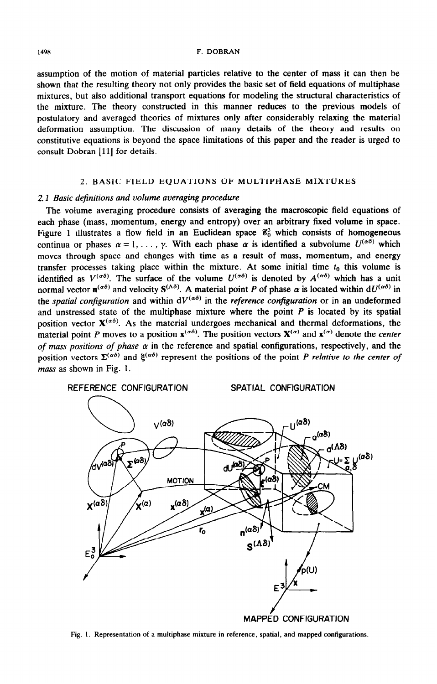assumption of the motion of material particles relative to the center of mass it can then be shown that the resulting theory not only provides the basic set of field equations of multiphase mixtures, but also additional transport equations for modeling the structural characteristics of the mixture. The theory constructed in this manner reduces to the previous models of postulatory and averaged theories of mixtures only after considerably relaxing the material deformation assumption, The discussion of many details of the theory and results on constitutive equations is beyond the space limitations of this paper and the reader is urged to consult Dobran [11] for details.

## **2.** BASIC FIELD EQUATIONS OF MULTIPHASE MIXTURES

#### 2.1 *Basic definitions and volume averaging procedure*

The volume averaging procedure consists of averaging the macroscopic field equations of each phase (mass, momentum, energy and entropy) over an arbitrary fixed volume in space. Figure 1 illustrates a flow field in an Euclidean space  $\mathscr{E}_0^3$  which consists of homogeneous continua or phases  $\alpha = 1, \ldots, \gamma$ . With each phase  $\alpha$  is identified a subvolume  $U^{(\alpha\delta)}$  which moves through space and changes with time as a result of mass, momentum, and energy transfer processes taking place within the mixture. At some initial time  $t_0$  this volume is identified as  $V^{(\alpha\delta)}$ . The surface of the volume  $U^{(\alpha\delta)}$  is denoted by  $A^{(\alpha\delta)}$  which has a unit normal vector  $n^{(\alpha\delta)}$  and velocity  $S^{(\Lambda\delta)}$ . A material point *P* of phase  $\alpha$  is located within dU<sup>( $\alpha\delta$ ) in</sup> the *spatial configuration* and within  $dV^{(\alpha\delta)}$  in the *reference configuration* or in an undeformed and unstressed state of the multiphase mixture where the point *P* is located by its spatial position vector  $X^{(\alpha\delta)}$ . As the material undergoes mechanical and thermal deformations, the material point *P* moves to a position  $\mathbf{x}^{(\alpha\delta)}$ . The position vectors  $\mathbf{X}^{(\alpha)}$  and  $\mathbf{x}^{(\alpha)}$  denote the *center of mass positions of phase*  $\alpha$  in the reference and spatial configurations, respectively, and the position vectors  $\Sigma^{(\alpha o)}$  and  $\xi^{(\alpha o)}$  represent the positions of the point *P relative to the center of mass* as shown in Fig. 1.



**Fig. 1. Representation of a multiphase mixture in reference, spatial, and mapped configurations.**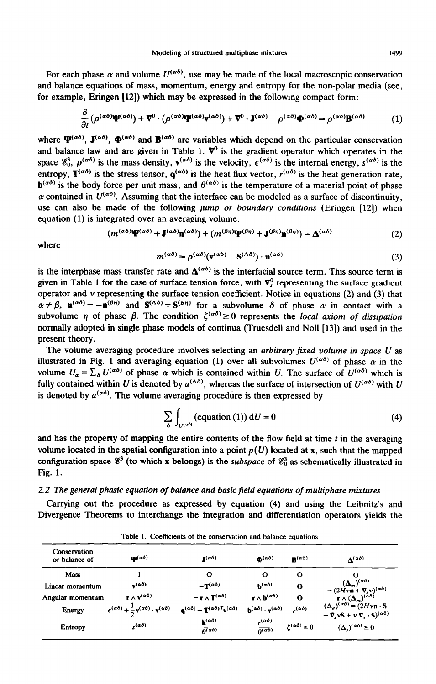For each phase  $\alpha$  and volume  $U^{(\alpha\delta)}$ , use may be made of the local macroscopic conservation and balance equations of mass, momentum, energy and entropy for the non-polar media (see, for example, Eringen [12]) which may be expressed in the following compact form:

$$
\frac{\partial}{\partial t} (\rho^{(\alpha\delta)} \Psi^{(\alpha\delta)}) + \nabla^0 \cdot (\rho^{(\alpha\delta)} \Psi^{(\alpha\delta)} \mathbf{v}^{(\alpha\delta)}) + \nabla^0 \cdot \mathbf{J}^{(\alpha\delta)} - \rho^{(\alpha\delta)} \Phi^{(\alpha\delta)} = \rho^{(\alpha\delta)} \mathbf{B}^{(\alpha\delta)}
$$
(1)

where  $\Psi^{(\alpha\delta)}$ ,  $J^{(\alpha\delta)}$ ,  $\Phi^{(\alpha\delta)}$  and  $\mathbf{B}^{(\alpha\delta)}$  are variables which depend on the particular conservation and balance law and are given in Table 1.  $\nabla^0$  is the gradient operator which operates in the space  $\mathscr{E}_0^3$ ,  $\rho^{(\alpha\delta)}$  is the mass density,  $\mathbf{v}^{(\alpha\delta)}$  is the velocity,  $\epsilon^{(\alpha\delta)}$  is the internal energy,  $s^{(\alpha\delta)}$  is the entropy,  $T^{(\alpha\delta)}$  is the stress tensor,  $q^{(\alpha\delta)}$  is the heat flux vector,  $r^{(\alpha\delta)}$  is the heat generation rate,  $\mathbf{b}^{(\alpha\delta)}$  is the body force per unit mass, and  $\theta^{(\alpha\delta)}$  is the temperature of a material point of phase  $\alpha$  contained in  $U^{(\alpha\delta)}$ . Assuming that the interface can be modeled as a surface of discontinuity, use can also be made of the following *jump or boundary conditions* (Eringen [12]) when equation (1) is integrated over an averaging volume.

$$
(m^{(\alpha\delta)}\mathbf{\Psi}^{(\alpha\delta)} + \mathbf{J}^{(\alpha\delta)}\mathbf{n}^{(\alpha\delta)}) + (m^{(\beta\eta)}\mathbf{\Psi}^{(\beta\eta)} + \mathbf{J}^{(\beta\eta)}\mathbf{n}^{(\beta\eta)}) = \Delta^{(\alpha\delta)} \tag{2}
$$

where

$$
m^{(\alpha\delta)} = \rho^{(\alpha\delta)}(\mathbf{v}^{(\alpha\delta)} - \mathbf{S}^{(\Lambda\delta)}) \cdot \mathbf{n}^{(\alpha\delta)}
$$
(3)

is the interphase mass transfer rate and  $\Delta^{(\alpha\delta)}$  is the interfacial source term. This source term is given in Table 1 for the case of surface tension force, with  $\nabla_{s}^{\circ}$  representing the surface gradient operator and  $\nu$  representing the surface tension coefficient. Notice in equations (2) and (3) that  $\alpha \neq \beta$ ,  $\mathbf{n}^{(\alpha\delta)} = -\mathbf{n}^{(\beta\eta)}$  and  $\mathbf{S}^{(\Lambda\delta)} = \mathbf{S}^{(\beta\eta)}$  for a subvolume  $\delta$  of phase  $\alpha$  in contact with a subvolume  $\eta$  of phase  $\beta$ . The condition  $\zeta^{(\alpha\delta)} \ge 0$  represents the *local axiom of dissipation* normally adopted in single phase models of continua (Truesdell and No11 [13]) and used in the present theory.

The volume averaging procedure involves selecting an *arbitrary fixed volume in space V* as illustrated in Fig. 1 and averaging equation (1) over all subvolumes  $U^{(\alpha\delta)}$  of phase  $\alpha$  in the volume  $U_{\alpha} = \sum_{\delta} U^{(\alpha\delta)}$  of phase  $\alpha$  which is contained within *U*. The surface of  $U^{(\alpha\delta)}$  which is fully contained within *U* is denoted by  $a^{(\Lambda\delta)}$ , whereas the surface of intersection of  $U^{(\alpha\delta)}$  with *U* is denoted by  $a^{(\alpha\delta)}$ . The volume averaging procedure is then expressed by

$$
\sum_{\delta} \int_{U^{(\alpha\delta)}} (\text{equation (1)) dU} = 0 \tag{4}
$$

and has the property of mapping the entire contents of the flow field at time  $t$  in the averaging volume located in the spatial configuration into a point  $p(U)$  located at x, such that the mapped configuration space  $\mathscr{E}^3$  (to which x belongs) is the *subspace* of  $\mathscr{E}_0^3$  as schematically illustrated in Fig. 1.

## 2.2 *The general phasic equation of balance and basic field equations of multiphase mixtures*

Carrying out the procedure as expressed by equation (4) and using the Leibnitz's and Divergence Theorems to interchange the integration and differentiation operators yields the

| Conservation<br>or balance of | $\mathbf{U}^{(\alpha\delta)}$                                                                           | $\mathbf{r}(\alpha\dot{\mathbf{o}})$                                                    | $\Phi^{(\alpha\delta)}$                                       | $\mathbf{R}^{(\alpha\delta)}$   | $\mathbf{A}^{(\alpha\delta)}$                                                                                                                                                                                    |
|-------------------------------|---------------------------------------------------------------------------------------------------------|-----------------------------------------------------------------------------------------|---------------------------------------------------------------|---------------------------------|------------------------------------------------------------------------------------------------------------------------------------------------------------------------------------------------------------------|
| <b>Mass</b>                   |                                                                                                         | Ω                                                                                       | О                                                             | $\mathbf O$                     |                                                                                                                                                                                                                  |
| Linear momentum               | $v(\alpha\delta)$                                                                                       | $-\mathbf{T}^{(\alpha\delta)}$                                                          | $h^{(\alpha\delta)}$                                          | $\mathbf 0$                     | $(\Delta_m)^{(\alpha\delta)}$<br>= $(2Hv\mathbf{n} + \nabla_s v)^{(\alpha\delta)}$<br>$\mathbf{r} \wedge (\Delta_m)^{(\alpha\delta)}$<br>$(\Delta_\epsilon)^{(\alpha\delta)} = (2Hv\mathbf{n} \cdot \mathbf{S})$ |
| Angular momentum              | $\mathbf{r} \wedge \mathbf{v}^{(\alpha \delta)}$                                                        | $-\mathbf{r} \wedge \mathbf{T}^{(\alpha\delta)}$                                        | $\mathbf{r} \wedge \mathbf{b}^{(\alpha \delta)}$              | $\mathbf 0$                     |                                                                                                                                                                                                                  |
| Energy                        | $\epsilon^{(\alpha\delta)} + \frac{1}{2} \mathbf{v}^{(\alpha\delta)} \cdot \mathbf{v}^{(\alpha\delta)}$ | $\mathbf{q}^{(\alpha\delta)} - \mathbf{T}^{(\alpha\delta)T}\mathbf{v}^{(\alpha\delta)}$ | $\mathbf{b}^{(\alpha\delta)}\cdot\mathbf{v}^{(\alpha\delta)}$ | $r^{(\alpha\delta)}$            | + $\nabla_s v S + v \nabla_s \cdot S^{(\alpha \delta)}$                                                                                                                                                          |
| <b>Entropy</b>                | $s^{(\alpha\delta)}$ .                                                                                  | $h^{(\alpha\delta)}$<br>$\overline{\theta^{(\alpha\delta)}}$                            | $r^{(\alpha\delta)}$<br>$\overline{\theta^{(\alpha\delta)}}$  | $\xi^{(\alpha\delta)}\!\geq\!0$ | $(\Delta_s)^{(\alpha\delta)}\geq 0$                                                                                                                                                                              |

**Table 1. Coefficients of the conservation and balance equations**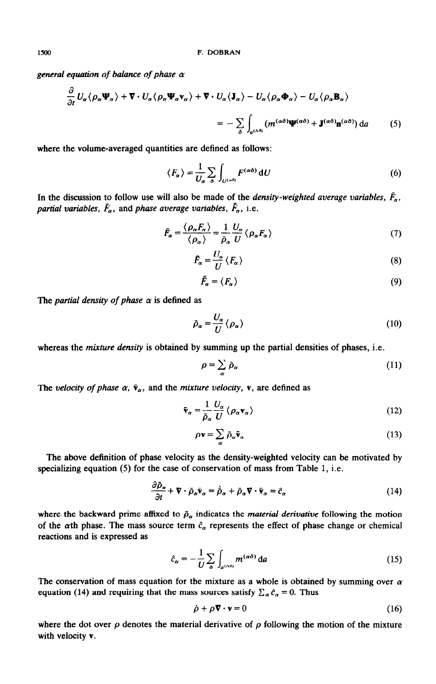*general equation of balance of phase*  $\alpha$ 

$$
\frac{\partial}{\partial t} U_{\alpha} \langle \rho_{\alpha} \Psi_{\alpha} \rangle + \nabla \cdot U_{\alpha} \langle \rho_{\alpha} \Psi_{\alpha} \mathbf{v}_{\alpha} \rangle + \nabla \cdot U_{\alpha} \langle \mathbf{J}_{\alpha} \rangle - U_{\alpha} \langle \rho_{\alpha} \Phi_{\alpha} \rangle - U_{\alpha} \langle \rho_{\alpha} \mathbf{B}_{\alpha} \rangle
$$
  
= 
$$
- \sum_{\delta} \int_{a^{(\Lambda \delta)}} (m^{(\alpha \delta)} \Psi^{(\alpha \delta)} + \mathbf{J}^{(\alpha \delta)} \mathbf{n}^{(\alpha \delta)}) da \qquad (5)
$$

where the volume-averaged quantities are defined as follows:

$$
\langle F_{\alpha} \rangle = \frac{1}{U_{\alpha}} \sum_{\delta} \int_{U^{(\alpha \delta)}} F^{(\alpha \delta)} dU \tag{6}
$$

In the discussion to follow use will also be made of the *density-weighted average variables,*  $\tilde{F}_{\alpha}$ , *partial variables,*  $\tilde{F}_{\alpha}$ *, and phase average variables,*  $\tilde{F}_{\alpha}$ *, i.e.* 

$$
\tilde{F}_{\alpha} = \frac{\langle \rho_{\alpha} F_{\alpha} \rangle}{\langle \rho_{\alpha} \rangle} = \frac{1}{\bar{\rho}_{\alpha}} \frac{U_{\alpha}}{U} \langle \rho_{\alpha} F_{\alpha} \rangle \tag{7}
$$

$$
\bar{F}_{\alpha} = \frac{U_{\alpha}}{U} \langle F_{\alpha} \rangle \tag{8}
$$

$$
\bar{\bar{F}}_{\alpha} = \langle F_{\alpha} \rangle \tag{9}
$$

The *partial density of phase*  $\alpha$  is defined as

$$
\bar{\rho}_{\alpha} = \frac{U_{\alpha}}{U} \langle \rho_{\alpha} \rangle \tag{10}
$$

whereas the *mixture density* is obtained by summing up the partial densities of phases, i.e.

$$
\rho = \sum_{\alpha} \bar{\rho}_{\alpha} \tag{11}
$$

The *velocity of phase*  $\alpha$ *,*  $\bar{v}_{\alpha}$ , and the *mixture velocity*, **v**, are defined as

$$
\tilde{\mathbf{v}}_{\alpha} = \frac{1}{\bar{\rho}_{\alpha}} \frac{U_{\alpha}}{U} \langle \rho_{\alpha} \mathbf{v}_{\alpha} \rangle \tag{12}
$$

$$
\rho \mathbf{v} = \sum_{\alpha} \bar{\rho}_{\alpha} \tilde{\mathbf{v}}_{\alpha} \tag{13}
$$

The above definition of phase velocity as the density-weighted velocity can be motivated by specializing equation (5) for the case of conservation of mass from Table 1, i.e.

$$
\frac{\partial \rho_{\alpha}}{\partial t} + \nabla \cdot \bar{\rho}_{\alpha} \tilde{\mathbf{v}}_{\alpha} = \dot{\bar{\rho}}_{\alpha} + \bar{\rho}_{\alpha} \nabla \cdot \tilde{\mathbf{v}}_{\alpha} = \hat{c}_{\alpha}
$$
(14)

where the backward prime affixed to  $\bar{p}_{\alpha}$  indicates the *material derivative* following the motion of the  $\alpha$ th phase. The mass source term  $\hat{c}_{\alpha}$  represents the effect of phase change or chemical reactions and is expressed as

$$
\hat{c}_{\alpha} = -\frac{1}{U} \sum_{\delta} \int_{a^{(\Lambda \delta)}} m^{(\alpha \delta)} da \qquad (15)
$$

The conservation of mass equation for the mixture as a whole is obtained by summing over  $\alpha$ equation (14) and requiring that the mass sources satisfy  $\sum_{\alpha} \hat{c}_{\alpha} = 0$ . Thus

$$
\dot{\rho} + \rho \nabla \cdot \mathbf{v} = 0 \tag{16}
$$

where the dot over  $\rho$  denotes the material derivative of  $\rho$  following the motion of the mixture with velocity v.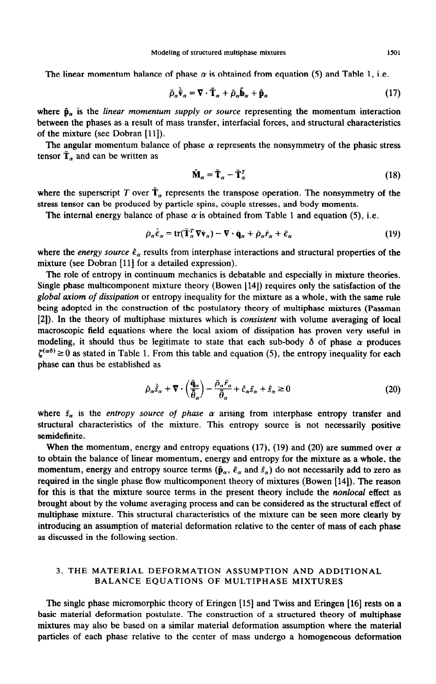The linear momentum balance of phase  $\alpha$  is obtained from equation (5) and Table 1, i.e.

$$
\bar{\rho}_{\alpha}\dot{\tilde{\mathbf{v}}}_{\alpha} = \nabla \cdot \tilde{\mathbf{T}}_{\alpha} + \bar{\rho}_{\alpha}\tilde{\mathbf{b}}_{\alpha} + \hat{\mathbf{p}}_{\alpha}
$$
(17)

where  $\hat{\mathbf{p}}_{\alpha}$  is the *linear momentum supply or source* representing the momentum interaction between the phases as a result of mass transfer, interfacial forces, and structural characteristics of the mixture (see Dobran [ll]).

The angular momentum balance of phase  $\alpha$  represents the nonsymmetry of the phasic stress tensor  $\bar{T}_{\alpha}$  and can be written as

$$
\hat{\mathbf{M}}_{\alpha} = \bar{\mathbf{T}}_{\alpha} - \bar{\mathbf{T}}_{\alpha}^{T}
$$
 (18)

where the superscript *T* over  $\bar{T}_{\alpha}$  represents the transpose operation. The nonsymmetry of the stress tensor can be produced by particle spins, couple stresses, and body moments.

The internal energy balance of phase  $\alpha$  is obtained from Table 1 and equation (5), i.e.

$$
\bar{\rho}_{\alpha}\tilde{\epsilon}_{\alpha} = \text{tr}(\mathbf{T}_{\alpha}^T \mathbf{\nabla} \tilde{\mathbf{v}}_{\alpha}) - \mathbf{\nabla} \cdot \bar{\mathbf{q}}_{\alpha} + \bar{\rho}_{\alpha} \tilde{r}_{\alpha} + \hat{\epsilon}_{\alpha} \tag{19}
$$

where the energy source  $\hat{\epsilon}_{\alpha}$  results from interphase interactions and structural properties of the mixture (see Dobran [ll] for a detailed expression).

The role of entropy in continuum mechanics is debatable and especially in mixture theories. Single phase multicomponent mixture theory (Bowen [14]) requires only the satisfaction of the global *axiom of dissipation* or entropy inequality for the mixture as a whole, with the same rule being adopted in the construction of the postulatory theory of multiphase mixtures (Passman [2]). In the theory of multiphase mixtures which is *consistent* with volume averaging of local macroscopic field equations where the local axiom of dissipation has proven very useful in modeling, it should thus be legitimate to state that each sub-body  $\delta$  of phase  $\alpha$  produces  $\xi^{(\alpha\delta)} \ge 0$  as stated in Table 1. From this table and equation (5), the entropy inequality for each phase can thus be established as

$$
\bar{\rho}_{\alpha}\tilde{s}_{\alpha} + \nabla \cdot \left(\frac{\bar{\mathbf{q}}_{\alpha}}{\bar{\theta}_{\alpha}}\right) - \frac{\bar{\rho}_{\alpha}\tilde{r}_{\alpha}}{\bar{\theta}_{\alpha}} + \hat{c}_{\alpha}\tilde{s}_{\alpha} + \hat{s}_{\alpha} \ge 0 \tag{20}
$$

where  $\hat{s}_{\alpha}$  is the *entropy source of phase*  $\alpha$  arising from interphase entropy transfer and structural characteristics of the mixture. This entropy source is not necessarily positive semidefinite.

When the momentum, energy and entropy equations (17), (19) and (20) are summed over  $\alpha$ to obtain the balance of linear momentum, energy and entropy for the mixture as a whole, the momentum, energy and entropy source terms ( $\hat{\mathbf{p}}_{\alpha}$ ,  $\hat{\epsilon}_{\alpha}$  and  $\hat{s}_{\alpha}$ ) do not necessarily add to zero as required in the single phase flow multicomponent theory of mixtures (Bowen [14]). The reason for this is that the mixture source terms in the present theory include the *nonlocal* effect as brought about by the volume averaging process and can be considered as the structural effect of multiphase mixture. This structural characteristics of the mixture can be seen more clearly by introducing an assumption of material deformation relative to the center of mass of each phase as discussed in the following section.

### **3. THE MATERIAL DEFORMATION ASSUMPTION AND ADDITIONAL BALANCE EQUATIONS OF MULTIPHASE MIXTURES**

The single phase micromorphic theory of Eringen [15] and Twiss and Eringen [16] rests on a basic material deformation postulate. The construction of a structured theory of multiphase mixtures may also be based on a similar material deformation assumption where the material particles of each phase relative to the center of mass undergo a homogeneous deformation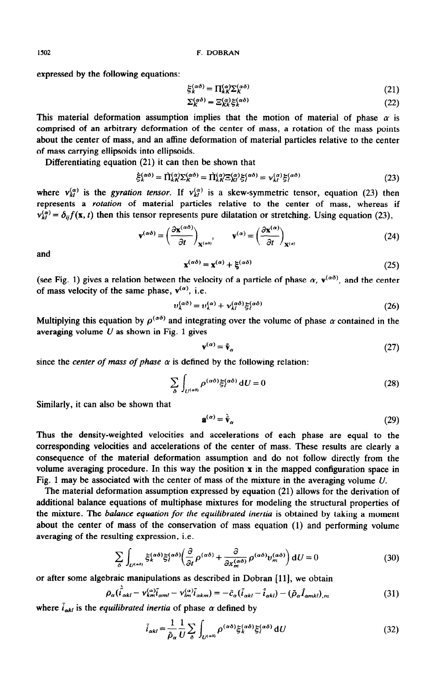expressed by the following equations:

$$
\xi_k^{(\alpha\delta)} = \Pi_{kk}^{(\alpha)} \Sigma_k^{(\alpha\delta)} \tag{21}
$$

$$
\Sigma_K^{(\alpha\delta)} = \Xi_{KK}^{(\alpha)} \xi^{(\alpha\delta)} \tag{22}
$$

This material deformation assumption implies that the motion of material of phase  $\alpha$  is comprised of an arbitrary deformation of the center of mass, a rotation of the mass points about the center of mass, and an affine deformation of material particles relative to the center of mass carrying ellipsoids into ellipsoids.

Differentiating equation (21) it can then be shown that

$$
\dot{\xi}_{k}^{(\alpha\delta)} = \Pi_{kk}^{(\alpha)} \Sigma_{k}^{(\alpha\delta)} = \Pi_{kk}^{(\alpha)} \Xi_{kl}^{(\alpha)} \xi_{l}^{(\alpha\delta)} = v_{kl}^{(\alpha)} \xi_{l}^{(\alpha\delta)}
$$
(23)

where  $v_{kl}^{(\alpha)}$  is the gyration tensor. If  $v_{kl}^{(\alpha)}$  is a skew-symmetric tensor, equation (23) then represents a rotation of material particles relative to the center of mass, whereas if  $v_{kl}^{(\alpha)} = \delta_{ij} f(\mathbf{x}, t)$  then this tensor represents pure dilatation or stretching. Using equation (23),

$$
\mathbf{v}^{(\alpha\delta)} = \left(\frac{\partial \mathbf{x}^{(\alpha\delta)}}{\partial t}\right)_{\mathbf{X}^{(\alpha\delta)}}, \qquad \mathbf{v}^{(\alpha)} = \left(\frac{\partial \mathbf{x}^{(\alpha)}}{\partial t}\right)_{\mathbf{X}^{(\alpha)}} \tag{24}
$$

and

$$
\mathbf{x}^{(\alpha\delta)} = \mathbf{x}^{(\alpha)} + \xi^{(\alpha\delta)}\tag{25}
$$

(see Fig. 1) gives a relation between the velocity of a particle of phase  $\alpha$ ,  $\mathbf{v}^{(\alpha\delta)}$ , and the center of mass velocity of the same phase,  $v^{(\alpha)}$ , i.e.

$$
v_k^{(\alpha\delta)} = v_k^{(\alpha)} + v_{kl}^{(\alpha\delta)} \xi^{(\alpha\delta)}
$$
\n(26)

Multiplying this equation by  $\rho^{(\alpha\delta)}$  and integrating over the volume of phase  $\alpha$  contained in the averaging volume  $U$  as shown in Fig. 1 gives

$$
\mathbf{v}^{(\alpha)} = \mathbf{\bar{v}}_{\alpha} \tag{27}
$$

since the *center of mass of phase*  $\alpha$  is defined by the following relation:

$$
\sum_{\delta} \int_{U^{(\alpha\delta)}} \rho^{(\alpha\delta)} \xi^{\{\alpha\delta\}} dU = 0
$$
\n(28)

Similarly, it can also be shown that

$$
\mathbf{a}^{(\alpha)} = \tilde{\mathbf{v}}_{\alpha} \tag{29}
$$

Thus the density-weighted velocities and accelerations of each phase are equal to the corresponding velocities and accelerations of the center of mass. These results are clearly a consequence of the material deformation assumption and do not follow directly from the volume averaging procedure. In this way the position  $x$  in the mapped configuration space in Fig. 1 may be associated with the center of mass of the mixture in the averaging volume U.

The material deformation assumption expressed by equation (21) allows for the derivation of additional balance equations of multiphase mixtures for modeling the structural properties of the mixture. The *balance equation for the equilibrated inertia* is obtained by taking a moment about the center of mass of the conservation of mass equation (1) and performing volume averaging of the resulting expression, i.e.

$$
\sum_{\delta} \int_{U^{(\alpha\delta)}} \xi_{\kappa}^{(\alpha\delta)} \xi_{\ell}^{(\alpha\delta)} \left( \frac{\partial}{\partial t} \rho^{(\alpha\delta)} + \frac{\partial}{\partial x_{m}^{(\alpha\delta)}} \rho^{(\alpha\delta)} v_{m}^{(\alpha\delta)} \right) dU = 0 \tag{30}
$$

or after some algebraic manipulations as described in Dobran [11], we obtain .

$$
\bar{\rho}_{\alpha}(\tilde{i}_{\alpha kl} - \nu_{km}^{(\alpha)}\tilde{i}_{\alpha ml} - \nu_{lm}^{(\alpha)}\tilde{i}_{\alpha km}) = -\hat{c}_{\alpha}(\tilde{i}_{\alpha kl} - \hat{i}_{\alpha kl}) - (\bar{\rho}_{\alpha}\hat{i}_{\alpha ml})_{,m} \tag{31}
$$

where  $\tilde{i}_{\alpha kl}$  is the *equilibrated inertia* of phase  $\alpha$  defined by

$$
\tilde{i}_{\alpha kl} = \frac{1}{\tilde{\rho}_{\alpha}} \frac{1}{U} \sum_{\delta} \int_{U^{(\alpha\delta)}} \rho^{(\alpha\delta)} \xi_{\kappa}^{(\alpha\delta)} \xi_{\delta}^{(\alpha\delta)} dU \tag{32}
$$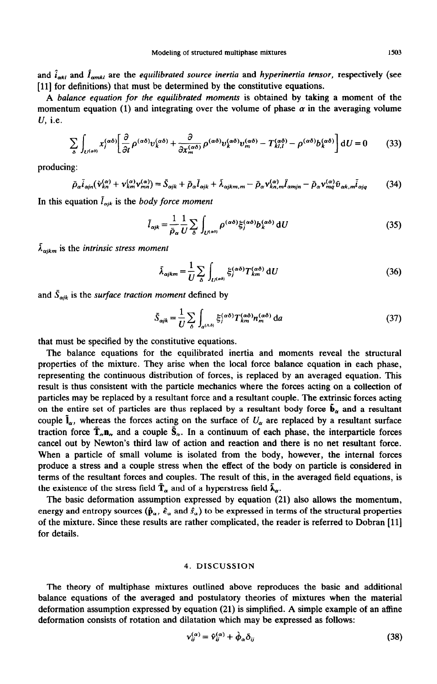and  $\hat{i}_{\alpha kl}$  and  $\hat{I}_{\alpha mkl}$  are the *equilibrated source inertia* and *hyperinertia tensor*, respectively (see [11] for definitions) that must be determined by the constitutive equations.

A *balance equation for the equilibrated moments* is obtained by taking a moment of the momentum equation (1) and integrating over the volume of phase  $\alpha$  in the averaging volume  $U$ , i.e.

$$
\sum_{\delta} \int_{U^{(\alpha\delta)}} x_j^{(\alpha\delta)} \left[ \frac{\partial}{\partial t} \rho^{(\alpha\delta)} v_k^{(\alpha\delta)} + \frac{\partial}{\partial x_m^{(\alpha\delta)}} \rho^{(\alpha\delta)} v_k^{(\alpha\delta)} v_m^{(\alpha\delta)} - T_{kl,l}^{(\alpha\delta)} - \rho^{(\alpha\delta)} b_k^{(\alpha\delta)} \right] dU = 0 \tag{33}
$$

producing:

$$
\bar{\rho}_{\alpha}\bar{i}_{\alpha j n}(\dot{v}_{kn}^{(\alpha)} + v_{km}^{(\alpha)}v_{mn}^{(\alpha)}) = \bar{S}_{\alpha j k} + \bar{\rho}_{\alpha}\bar{i}_{\alpha j k} + \bar{\lambda}_{\alpha j km, m} - \bar{\rho}_{\alpha}v_{kn,m}^{(\alpha)}\bar{i}_{\alpha m j n} - \bar{\rho}_{\alpha}v_{mq}^{(\alpha)}\bar{v}_{\alpha k,m}\bar{i}_{\alpha j q}
$$
(34)

In this equation  $\tilde{l}_{\alpha j k}$  is the *body force moment* 

$$
\tilde{l}_{\alpha j k} = \frac{1}{\bar{\rho}_{\alpha}} \frac{1}{U} \sum_{\delta} \int_{U^{(\alpha \delta)}} \rho^{(\alpha \delta)} \xi_j^{(\alpha \delta)} b_k^{(\alpha \delta)} dU \tag{35}
$$

 $\lambda_{\alpha jkm}$  is the *intrinsic stress moment* 

$$
\bar{\lambda}_{\alpha jkm} = \frac{1}{U} \sum_{\delta} \int_{U^{(\alpha\delta)}} \xi_j^{(\alpha\delta)} T_{km}^{(\alpha\delta)} dU \tag{36}
$$

and  $\bar{S}_{\alpha i k}$  is the *surface traction moment* defined by

$$
\bar{S}_{\alpha j k} = \frac{1}{U} \sum_{\delta} \int_{a^{(\Lambda \delta)}} \xi_j^{(\alpha \delta)} T_{km}^{(\alpha \delta)} n_m^{(\alpha \delta)} da \tag{37}
$$

that must be specified by the constitutive equations.

The balance equations for the equilibrated inertia and moments reveal the structural properties of the mixture. They arise when the local force balance equation in each phase, representing the continuous distribution of forces, is replaced by an averaged equation. This result is thus consistent with the particle mechanics where the forces acting on a collection of particles may be replaced by a resultant force and a resultant couple. The extrinsic forces acting on the entire set of particles are thus replaced by a resultant body force  $\tilde{\mathbf{b}}_{\alpha}$  and a resultant couple  $\mathbf{I}_{\alpha}$ , whereas the forces acting on the surface of  $U_{\alpha}$  are replaced by a resultant surface traction force  $\bar{T}_{\alpha} n_{\alpha}$  and a couple  $\bar{S}_{\alpha}$ . In a continuum of each phase, the interparticle forces cancel out by Newton's third law of action and reaction and there is no net resultant force. When a particle of small volume is isolated from the body, however, the internal forces produce a stress and a couple stress when the effect of the body on particle is considered in terms of the resultant forces and couples. The result of this, in the averaged field equations, is the existence of the stress field  $\bar{T}_{\alpha}$  and of a hyperstress field  $\bar{\lambda}_{\alpha}$ .

The basic deformation assumption expressed by equation (21) also allows the momentum, energy and entropy sources ( $\hat{\mathbf{p}}_{\alpha}$ ,  $\hat{\epsilon}_{\alpha}$  and  $\hat{s}_{\alpha}$ ) to be expressed in terms of the structural properties of the mixture. Since these results are rather complicated, the reader is referred to Dobran [ll] for details.

#### **4. DISCUSSION**

The theory of multiphase mixtures outlined above reproduces the basic and additional balance equations of the averaged and postulatory theories of mixtures when the material deformation assumption expressed by equation (21) is simplified. A simple example of an affine deformation consists of rotation and dilatation which may be expressed as follows:

$$
\mathbf{v}_{ij}^{(\alpha)} = \hat{\mathbf{v}}_{ij}^{(\alpha)} + \dot{\phi}_{\alpha} \delta_{ij} \tag{38}
$$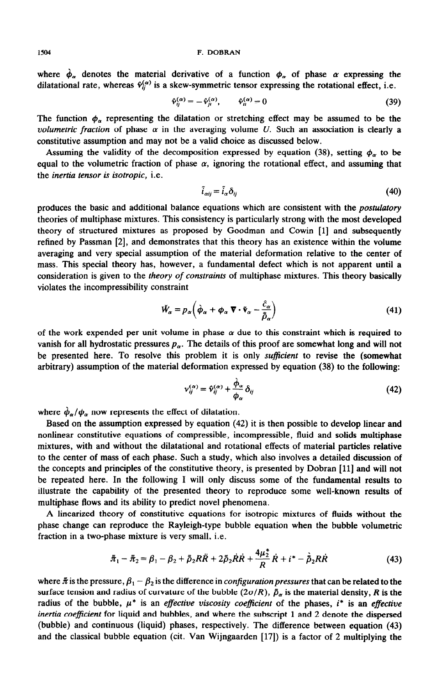where  $\dot{\phi}_{\alpha}$  denotes the material derivative of a function  $\phi_{\alpha}$  of phase  $\alpha$  expressing the dilatational rate, whereas  $\hat{v}_{ij}^{(\alpha)}$  is a skew-symmetric tensor expressing the rotational effect, i.e.

$$
\hat{\mathbf{v}}_{ij}^{(\alpha)} = -\hat{\mathbf{v}}_{ji}^{(\alpha)}, \qquad \hat{\mathbf{v}}_{ii}^{(\alpha)} = 0 \tag{39}
$$

The function  $\phi_{\alpha}$  representing the dilatation or stretching effect may be assumed to be the *volumetric fraction* of phase  $\alpha$  in the averaging volume U. Such an association is clearly a constitutive assumption and may not be a valid choice as discussed below.

Assuming the validity of the decomposition expressed by equation (38), setting  $\phi_{\alpha}$  to be equal to the volumetric fraction of phase  $\alpha$ , ignoring the rotational effect, and assuming that the *inertia tensor is isotropic*, *i.e.* 

$$
\tilde{i}_{\alpha ij} = \tilde{i}_{\alpha} \delta_{ij} \tag{40}
$$

produces the basic and additional balance equations which are consistent with the *postdutory*  theories of multiphase mixtures. This consistency is particularly strong with the most developed theory of structured mixtures as proposed by Goodman and Cowin [l] and subsequently refined by Passman [2], and demonstrates that this theory has an existence within the volume averaging and very special assumption of the material deformation relative to the center of mass. This special theory has, however, a fundamental defect which is not apparent until a consideration is given to the *theory of constraints* of multiphase mixtures. This theory basically violates the incompressibility constraint

$$
\check{W}_{\alpha} = p_{\alpha} \left( \dot{\phi}_{\alpha} + \phi_{\alpha} \, \nabla \cdot \tilde{\mathbf{v}}_{\alpha} - \frac{\hat{c}_{\alpha}}{\bar{\rho}_{\alpha}} \right) \tag{41}
$$

of the work expended per unit volume in phase  $\alpha$  due to this constraint which is required to vanish for all hydrostatic pressures  $p_{\alpha}$ . The details of this proof are somewhat long and will not be presented here. To resolve this problem it is only *sufficient* to revise the (somewhat arbitrary) assumption of the material deformation expressed by equation (38) to the following:

$$
\nu_{ij}^{(\alpha)} = \hat{\nu}_{ij}^{(\alpha)} + \frac{\dot{\phi}_{\alpha}}{\phi_{\alpha}} \delta_{ij}
$$
 (42)

where  $\dot{\phi}_{\alpha}/\phi_{\alpha}$  now represents the effect of dilatation.

Based on the assumption expressed by equation (42) it is then possible to develop linear and nonlinear constitutive equations of compressible, incompressible, fluid and solids multiphase mixtures, with and without the dilatational and rotational effects of material particles relative to the center of mass of each phase. Such a study, which also involves a detailed discussion of the concepts and principles of the constitutive theory, is presented by Dobran [ll] and will not be repeated here. In the following I will only discuss some of the fundamental results to illustrate the capability of the presented theory to reproduce some well-known results of multiphase flows and its ability to predict novel phenomena.

A linearized theory of constitutive equations for isotropic mixtures of fluids without the phase change can reproduce the Rayleigh-type bubble equation when the bubble volumetric fraction in a two-phase mixture is very small, i.e.

$$
\bar{\pi}_1 - \bar{\pi}_2 = \beta_1 - \beta_2 + \bar{\rho}_2 R \ddot{R} + 2 \bar{\rho}_2 \dot{R} \dot{R} + \frac{4\mu_2^2}{R} \dot{R} + i^* - \bar{\rho}_2 R \dot{R}
$$
(43)

 $\ddot{ }$ 

where  $\bar{\pi}$  is the pressure,  $\beta_1 - \beta_2$  is the difference in *configuration pressures* that can be related to the surface tension and radius of curvature of the bubble  $(2\sigma/R)$ ,  $\bar{p}_{\alpha}$  is the material density, *R* is the radius of the bubble,  $\mu^*$  is an *effective viscosity coefficient* of the phases,  $i^*$  is an *effective inertia coefficient* for liquid and bubbles, and where the subscript 1 and 2 denote the dispersed (bubble) and continuous (liquid) phases, respectively. The difference between equation (43) and the classical bubble equation (cit. Van Wijngaarden [17]) is a factor of 2 multiplying the